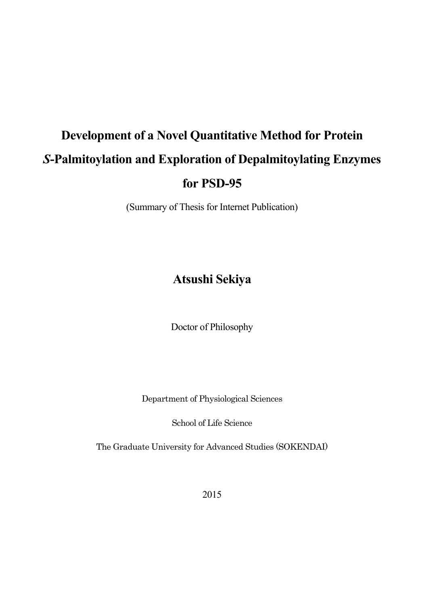# **Development of a Novel Quantitative Method for Protein**  *S***-Palmitoylation and Exploration of Depalmitoylating Enzymes for PSD-95**

(Summary of Thesis for Internet Publication)

## **Atsushi Sekiya**

Doctor of Philosophy

Department of Physiological Sciences

School of Life Science

The Graduate University for Advanced Studies (SOKENDAI)

2015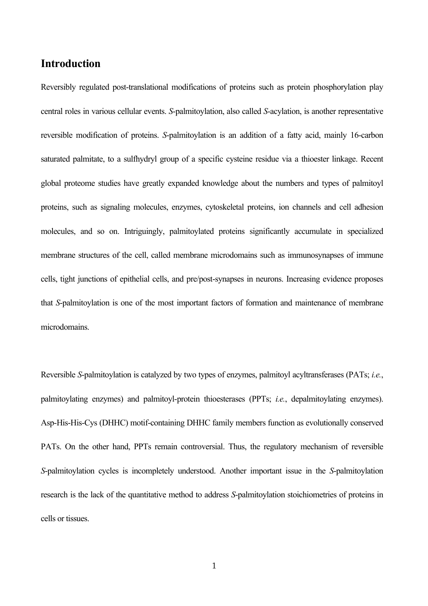## **Introduction**

Reversibly regulated post-translational modifications of proteins such as protein phosphorylation play central roles in various cellular events. *S*-palmitoylation, also called *S*-acylation, is another representative reversible modification of proteins. *S*-palmitoylation is an addition of a fatty acid, mainly 16-carbon saturated palmitate, to a sulfhydryl group of a specific cysteine residue via a thioester linkage. Recent global proteome studies have greatly expanded knowledge about the numbers and types of palmitoyl proteins, such as signaling molecules, enzymes, cytoskeletal proteins, ion channels and cell adhesion molecules, and so on. Intriguingly, palmitoylated proteins significantly accumulate in specialized membrane structures of the cell, called membrane microdomains such as immunosynapses of immune cells, tight junctions of epithelial cells, and pre/post-synapses in neurons. Increasing evidence proposes that *S*-palmitoylation is one of the most important factors of formation and maintenance of membrane microdomains.

Reversible *S*-palmitoylation is catalyzed by two types of enzymes, palmitoyl acyltransferases (PATs; *i.e.*, palmitoylating enzymes) and palmitoyl-protein thioesterases (PPTs; *i.e.*, depalmitoylating enzymes). Asp-His-His-Cys (DHHC) motif-containing DHHC family members function as evolutionally conserved PATs. On the other hand, PPTs remain controversial. Thus, the regulatory mechanism of reversible *S*-palmitoylation cycles is incompletely understood. Another important issue in the *S*-palmitoylation research is the lack of the quantitative method to address *S*-palmitoylation stoichiometries of proteins in cells or tissues.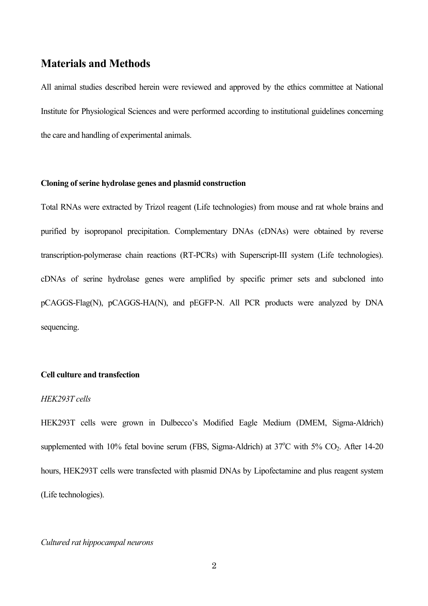## **Materials and Methods**

All animal studies described herein were reviewed and approved by the ethics committee at National Institute for Physiological Sciences and were performed according to institutional guidelines concerning the care and handling of experimental animals.

#### **Cloning of serine hydrolase genes and plasmid construction**

Total RNAs were extracted by Trizol reagent (Life technologies) from mouse and rat whole brains and purified by isopropanol precipitation. Complementary DNAs (cDNAs) were obtained by reverse transcription-polymerase chain reactions (RT-PCRs) with Superscript-III system (Life technologies). cDNAs of serine hydrolase genes were amplified by specific primer sets and subcloned into pCAGGS-Flag(N), pCAGGS-HA(N), and pEGFP-N. All PCR products were analyzed by DNA sequencing.

#### **Cell culture and transfection**

#### *HEK293T cells*

HEK293T cells were grown in Dulbecco's Modified Eagle Medium (DMEM, Sigma-Aldrich) supplemented with 10% fetal bovine serum (FBS, Sigma-Aldrich) at  $37^{\circ}$ C with  $5\%$  CO<sub>2</sub>. After 14-20 hours, HEK293T cells were transfected with plasmid DNAs by Lipofectamine and plus reagent system (Life technologies).

*Cultured rat hippocampal neurons*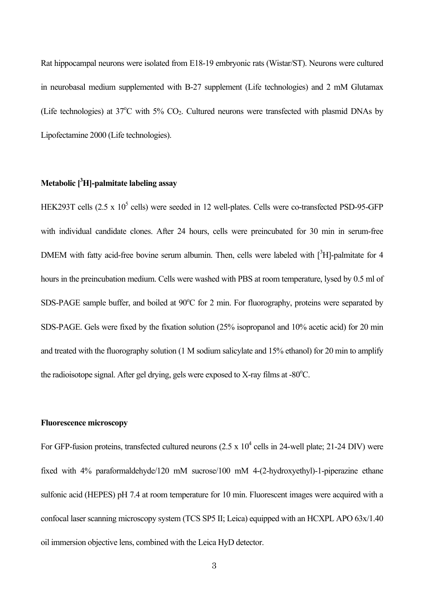Rat hippocampal neurons were isolated from E18-19 embryonic rats (Wistar/ST). Neurons were cultured in neurobasal medium supplemented with B-27 supplement (Life technologies) and 2 mM Glutamax (Life technologies) at  $37^{\circ}$ C with  $5\%$  CO<sub>2</sub>. Cultured neurons were transfected with plasmid DNAs by Lipofectamine 2000 (Life technologies).

## **Metabolic [ 3 H]-palmitate labeling assay**

HEK293T cells  $(2.5 \times 10^5 \text{ cells})$  were seeded in 12 well-plates. Cells were co-transfected PSD-95-GFP with individual candidate clones. After 24 hours, cells were preincubated for 30 min in serum-free DMEM with fatty acid-free bovine serum albumin. Then, cells were labeled with  $[^{3}H]$ -palmitate for 4 hours in the preincubation medium. Cells were washed with PBS at room temperature, lysed by 0.5 ml of SDS-PAGE sample buffer, and boiled at 90°C for 2 min. For fluorography, proteins were separated by SDS-PAGE. Gels were fixed by the fixation solution (25% isopropanol and 10% acetic acid) for 20 min and treated with the fluorography solution (1 M sodium salicylate and 15% ethanol) for 20 min to amplify the radioisotope signal. After gel drying, gels were exposed to X-ray films at  $-80^{\circ}$ C.

#### **Fluorescence microscopy**

For GFP-fusion proteins, transfected cultured neurons  $(2.5 \times 10^4 \text{ cells in } 24$ -well plate; 21-24 DIV) were fixed with 4% paraformaldehyde/120 mM sucrose/100 mM 4-(2-hydroxyethyl)-1-piperazine ethane sulfonic acid (HEPES) pH 7.4 at room temperature for 10 min. Fluorescent images were acquired with a confocal laser scanning microscopy system (TCS SP5 II; Leica) equipped with an HCXPL APO 63x/1.40 oil immersion objective lens, combined with the Leica HyD detector.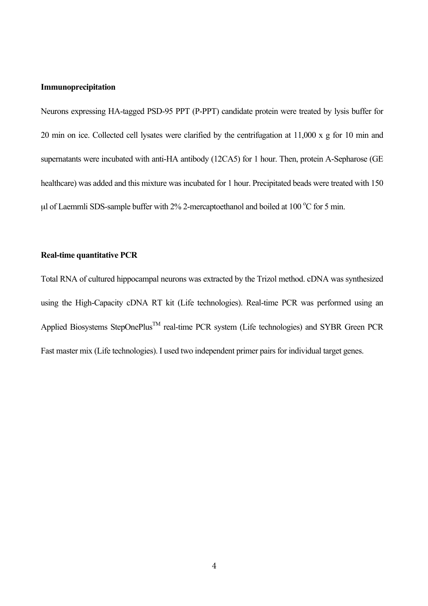#### **Immunoprecipitation**

Neurons expressing HA-tagged PSD-95 PPT (P-PPT) candidate protein were treated by lysis buffer for 20 min on ice. Collected cell lysates were clarified by the centrifugation at 11,000 x g for 10 min and supernatants were incubated with anti-HA antibody (12CA5) for 1 hour. Then, protein A-Sepharose (GE healthcare) was added and this mixture was incubated for 1 hour. Precipitated beads were treated with 150  $\mu$ l of Laemmli SDS-sample buffer with 2% 2-mercaptoethanol and boiled at 100 °C for 5 min.

#### **Real-time quantitative PCR**

Total RNA of cultured hippocampal neurons was extracted by the Trizol method. cDNA was synthesized using the High-Capacity cDNA RT kit (Life technologies). Real-time PCR was performed using an Applied Biosystems StepOnePlus<sup>™</sup> real-time PCR system (Life technologies) and SYBR Green PCR Fast master mix (Life technologies). I used two independent primer pairs for individual target genes.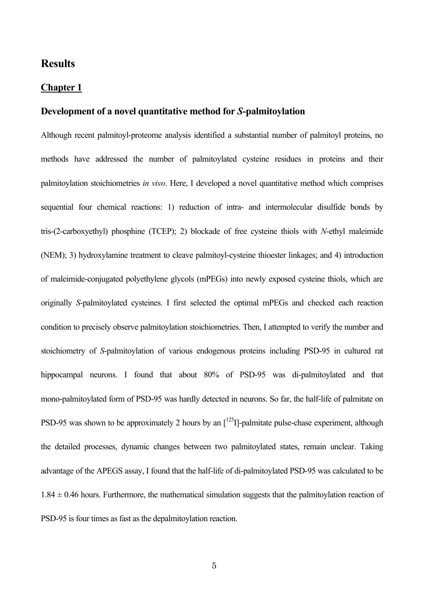## **Results**

#### **Chapter 1**

### **Development of a novel quantitative method for** *S***-palmitoylation**

Although recent palmitoyl-proteome analysis identified a substantial number of palmitoyl proteins, no methods have addressed the number of palmitoylated cysteine residues in proteins and their palmitoylation stoichiometries *in vivo*. Here, I developed a novel quantitative method which comprises sequential four chemical reactions: 1) reduction of intra- and intermolecular disulfide bonds by tris-(2-carboxyethyl) phosphine (TCEP); 2) blockade of free cysteine thiols with *N*-ethyl maleimide (NEM); 3) hydroxylamine treatment to cleave palmitoyl-cysteine thioester linkages; and 4) introduction of maleimide-conjugated polyethylene glycols (mPEGs) into newly exposed cysteine thiols, which are originally *S*-palmitoylated cysteines. I first selected the optimal mPEGs and checked each reaction condition to precisely observe palmitoylation stoichiometries. Then, I attempted to verify the number and stoichiometry of *S*-palmitoylation of various endogenous proteins including PSD-95 in cultured rat hippocampal neurons. I found that about 80% of PSD-95 was di-palmitoylated and that mono-palmitoylated form of PSD-95 was hardly detected in neurons. So far, the half-life of palmitate on PSD-95 was shown to be approximately 2 hours by an  $\left[1^{25}I\right]$ -palmitate pulse-chase experiment, although the detailed processes, dynamic changes between two palmitoylated states, remain unclear. Taking advantage of the APEGS assay, I found that the half-life of di-palmitoylated PSD-95 was calculated to be  $1.84 \pm 0.46$  hours. Furthermore, the mathematical simulation suggests that the palmitovlation reaction of PSD-95 is four times as fast as the depalmitoylation reaction.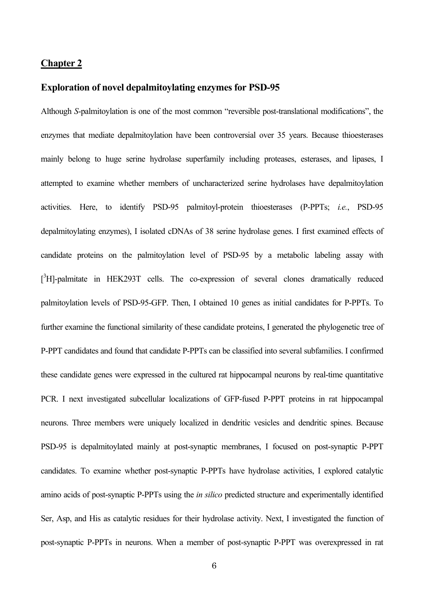#### **Chapter 2**

#### **Exploration of novel depalmitoylating enzymes for PSD-95**

Although *S*-palmitoylation is one of the most common "reversible post-translational modifications", the enzymes that mediate depalmitoylation have been controversial over 35 years. Because thioesterases mainly belong to huge serine hydrolase superfamily including proteases, esterases, and lipases, I attempted to examine whether members of uncharacterized serine hydrolases have depalmitoylation activities. Here, to identify PSD-95 palmitoyl-protein thioesterases (P-PPTs; *i.e.*, PSD-95 depalmitoylating enzymes), I isolated cDNAs of 38 serine hydrolase genes. I first examined effects of candidate proteins on the palmitoylation level of PSD-95 by a metabolic labeling assay with [<sup>3</sup>H]-palmitate in HEK293T cells. The co-expression of several clones dramatically reduced palmitoylation levels of PSD-95-GFP. Then, I obtained 10 genes as initial candidates for P-PPTs. To further examine the functional similarity of these candidate proteins, I generated the phylogenetic tree of P-PPT candidates and found that candidate P-PPTs can be classified into several subfamilies. I confirmed these candidate genes were expressed in the cultured rat hippocampal neurons by real-time quantitative PCR. I next investigated subcellular localizations of GFP-fused P-PPT proteins in rat hippocampal neurons. Three members were uniquely localized in dendritic vesicles and dendritic spines. Because PSD-95 is depalmitoylated mainly at post-synaptic membranes, I focused on post-synaptic P-PPT candidates. To examine whether post-synaptic P-PPTs have hydrolase activities, I explored catalytic amino acids of post-synaptic P-PPTs using the *in silico* predicted structure and experimentally identified Ser, Asp, and His as catalytic residues for their hydrolase activity. Next, I investigated the function of post-synaptic P-PPTs in neurons. When a member of post-synaptic P-PPT was overexpressed in rat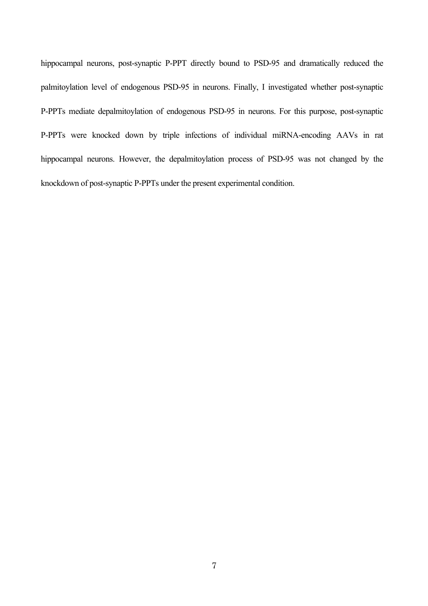hippocampal neurons, post-synaptic P-PPT directly bound to PSD-95 and dramatically reduced the palmitoylation level of endogenous PSD-95 in neurons. Finally, I investigated whether post-synaptic P-PPTs mediate depalmitoylation of endogenous PSD-95 in neurons. For this purpose, post-synaptic P-PPTs were knocked down by triple infections of individual miRNA-encoding AAVs in rat hippocampal neurons. However, the depalmitoylation process of PSD-95 was not changed by the knockdown of post-synaptic P-PPTs under the present experimental condition.